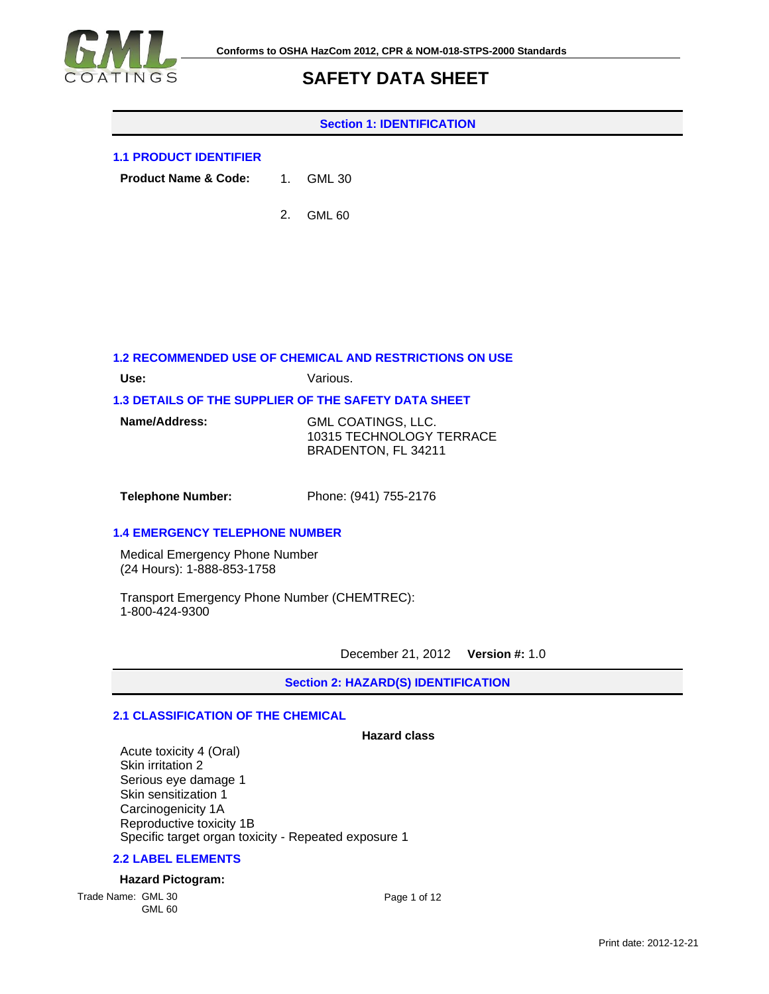

#### **Section 1: IDENTIFICATION**

### **1.1 PRODUCT IDENTIFIER**

**Product Name & Code:** GML 30

> 2. GML 60

### **1.2 RECOMMENDED USE OF CHEMICAL AND RESTRICTIONS ON USE**

**Use:** Various.

### **1.3 DETAILS OF THE SUPPLIER OF THE SAFETY DATA SHEET**

| Name/Address: | GML COATINGS, LLC.       |
|---------------|--------------------------|
|               | 10315 TECHNOLOGY TERRACE |
|               | BRADENTON, FL 34211      |

**Telephone Number:** Phone: (941) 755-2176

### **1.4 EMERGENCY TELEPHONE NUMBER**

Medical Emergency Phone Number (24 Hours): 1-888-853-1758

Transport Emergency Phone Number (CHEMTREC): 1-800-424-9300

December 21, 2012 **Version #:** 1.0

**Section 2: HAZARD(S) IDENTIFICATION**

### **2.1 CLASSIFICATION OF THE CHEMICAL**

#### **Hazard class**

Acute toxicity 4 (Oral) Skin irritation 2 Serious eye damage 1 Skin sensitization 1 Carcinogenicity 1A Reproductive toxicity 1B Specific target organ toxicity - Repeated exposure 1

### **2.2 LABEL ELEMENTS**

### **Hazard Pictogram:**

Trade Name: GML 30 GML 60 Page 1 of 12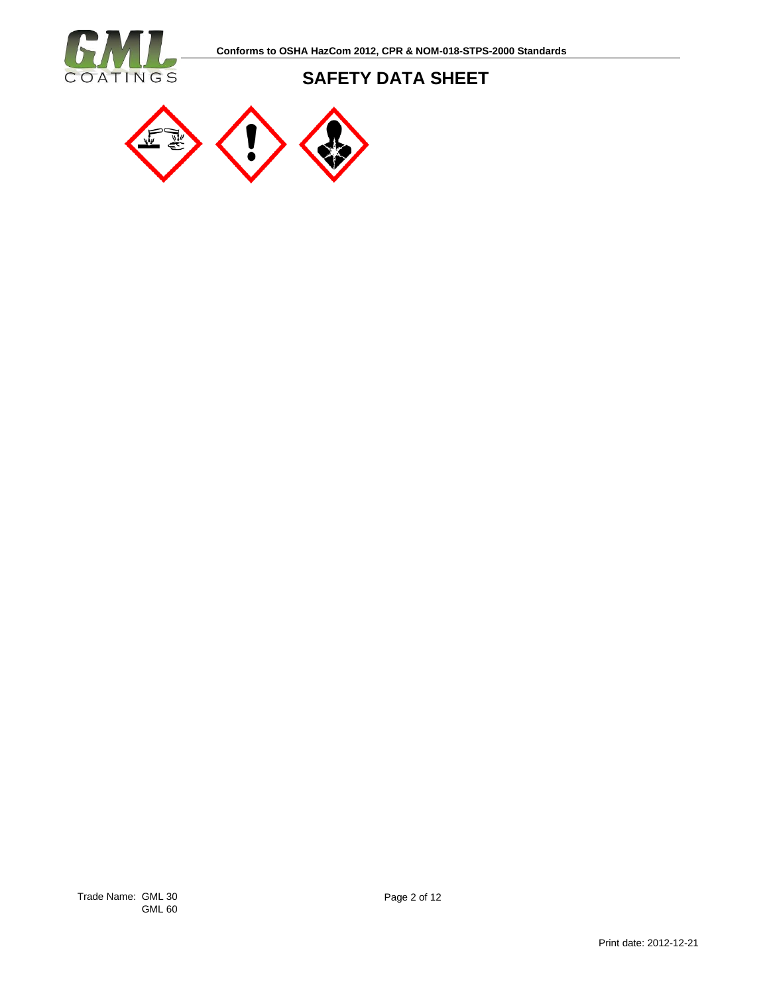

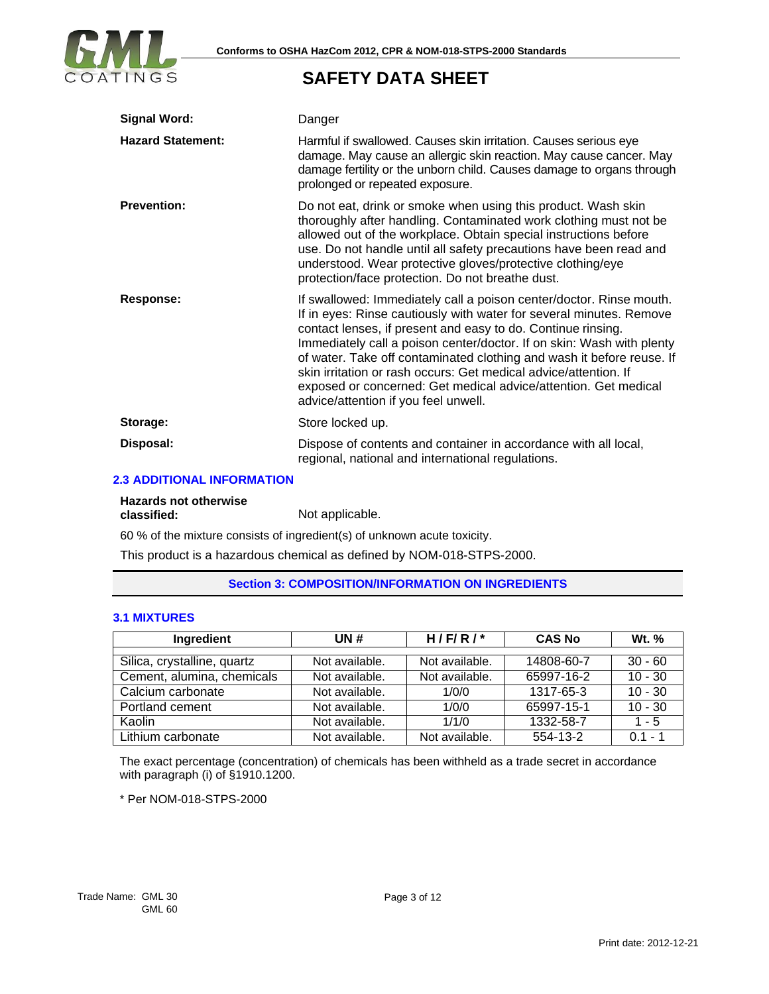

| <b>Signal Word:</b>      | Danger                                                                                                                                                                                                                                                                                                                                                                                                                                                                                                                                      |
|--------------------------|---------------------------------------------------------------------------------------------------------------------------------------------------------------------------------------------------------------------------------------------------------------------------------------------------------------------------------------------------------------------------------------------------------------------------------------------------------------------------------------------------------------------------------------------|
| <b>Hazard Statement:</b> | Harmful if swallowed. Causes skin irritation. Causes serious eye<br>damage. May cause an allergic skin reaction. May cause cancer. May<br>damage fertility or the unborn child. Causes damage to organs through<br>prolonged or repeated exposure.                                                                                                                                                                                                                                                                                          |
| <b>Prevention:</b>       | Do not eat, drink or smoke when using this product. Wash skin<br>thoroughly after handling. Contaminated work clothing must not be<br>allowed out of the workplace. Obtain special instructions before<br>use. Do not handle until all safety precautions have been read and<br>understood. Wear protective gloves/protective clothing/eye<br>protection/face protection. Do not breathe dust.                                                                                                                                              |
| Response:                | If swallowed: Immediately call a poison center/doctor. Rinse mouth.<br>If in eyes: Rinse cautiously with water for several minutes. Remove<br>contact lenses, if present and easy to do. Continue rinsing.<br>Immediately call a poison center/doctor. If on skin: Wash with plenty<br>of water. Take off contaminated clothing and wash it before reuse. If<br>skin irritation or rash occurs: Get medical advice/attention. If<br>exposed or concerned: Get medical advice/attention. Get medical<br>advice/attention if you feel unwell. |
| Storage:                 | Store locked up.                                                                                                                                                                                                                                                                                                                                                                                                                                                                                                                            |
| Disposal:                | Dispose of contents and container in accordance with all local,<br>regional, national and international regulations.                                                                                                                                                                                                                                                                                                                                                                                                                        |

### **2.3 ADDITIONAL INFORMATION**

# **Hazards not otherwise**

Not applicable.

60 % of the mixture consists of ingredient(s) of unknown acute toxicity.

This product is a hazardous chemical as defined by NOM-018-STPS-2000.

### **Section 3: COMPOSITION/INFORMATION ON INGREDIENTS**

### **3.1 MIXTURES**

| Ingredient                  | UN #           | H/F/R/         | <b>CAS No</b> | <b>Wt.</b> % |
|-----------------------------|----------------|----------------|---------------|--------------|
| Silica, crystalline, quartz | Not available. | Not available. | 14808-60-7    | $30 - 60$    |
| Cement, alumina, chemicals  | Not available. | Not available. | 65997-16-2    | $10 - 30$    |
| Calcium carbonate           | Not available. | 1/0/0          | 1317-65-3     | $10 - 30$    |
| Portland cement             | Not available. | 1/0/0          | 65997-15-1    | $10 - 30$    |
| Kaolin                      | Not available. | 1/1/0          | 1332-58-7     | 1 - 5        |
| Lithium carbonate           | Not available. | Not available. | 554-13-2      | $0.1 - 1$    |

The exact percentage (concentration) of chemicals has been withheld as a trade secret in accordance with paragraph (i) of §1910.1200.

\* Per NOM-018-STPS-2000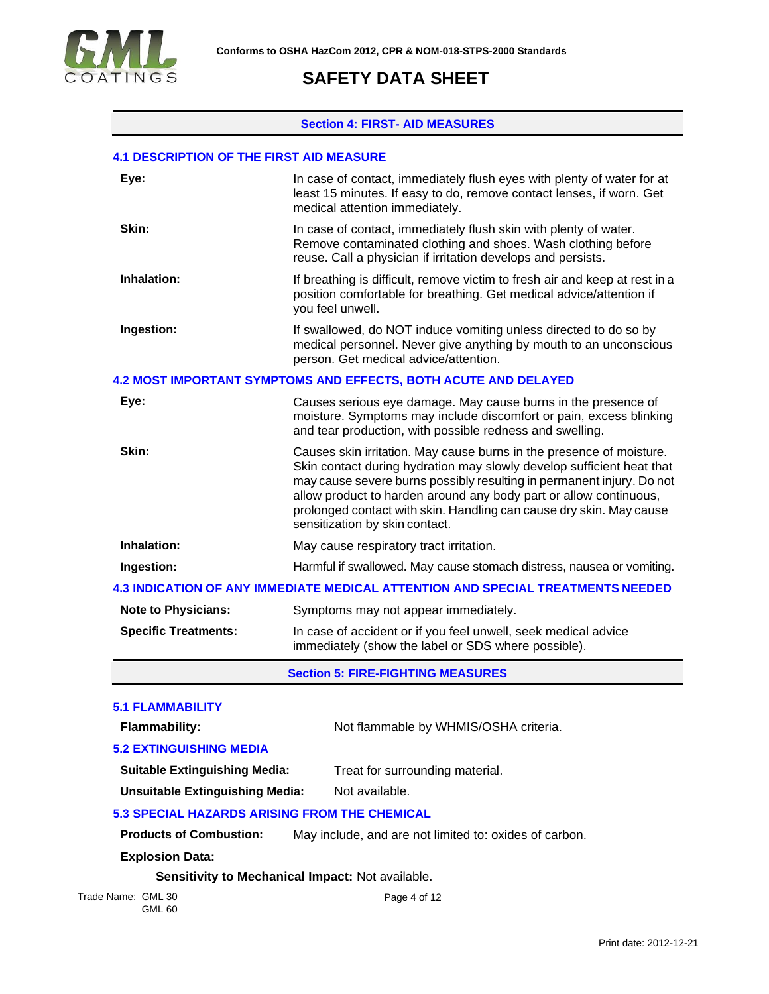

### **Section 4: FIRST- AID MEASURES**

### **4.1 DESCRIPTION OF THE FIRST AID MEASURE**

| Eye:                                          | In case of contact, immediately flush eyes with plenty of water for at<br>least 15 minutes. If easy to do, remove contact lenses, if worn. Get<br>medical attention immediately.                                                                                                                                                                                                                     |  |  |
|-----------------------------------------------|------------------------------------------------------------------------------------------------------------------------------------------------------------------------------------------------------------------------------------------------------------------------------------------------------------------------------------------------------------------------------------------------------|--|--|
| Skin:                                         | In case of contact, immediately flush skin with plenty of water.<br>Remove contaminated clothing and shoes. Wash clothing before<br>reuse. Call a physician if irritation develops and persists.                                                                                                                                                                                                     |  |  |
| Inhalation:                                   | If breathing is difficult, remove victim to fresh air and keep at rest in a<br>position comfortable for breathing. Get medical advice/attention if<br>you feel unwell.                                                                                                                                                                                                                               |  |  |
| Ingestion:                                    | If swallowed, do NOT induce vomiting unless directed to do so by<br>medical personnel. Never give anything by mouth to an unconscious<br>person. Get medical advice/attention.                                                                                                                                                                                                                       |  |  |
|                                               | <b>4.2 MOST IMPORTANT SYMPTOMS AND EFFECTS, BOTH ACUTE AND DELAYED</b>                                                                                                                                                                                                                                                                                                                               |  |  |
| Eye:                                          | Causes serious eye damage. May cause burns in the presence of<br>moisture. Symptoms may include discomfort or pain, excess blinking<br>and tear production, with possible redness and swelling.                                                                                                                                                                                                      |  |  |
| Skin:                                         | Causes skin irritation. May cause burns in the presence of moisture.<br>Skin contact during hydration may slowly develop sufficient heat that<br>may cause severe burns possibly resulting in permanent injury. Do not<br>allow product to harden around any body part or allow continuous,<br>prolonged contact with skin. Handling can cause dry skin. May cause<br>sensitization by skin contact. |  |  |
| Inhalation:                                   | May cause respiratory tract irritation.                                                                                                                                                                                                                                                                                                                                                              |  |  |
| Ingestion:                                    | Harmful if swallowed. May cause stomach distress, nausea or vomiting.                                                                                                                                                                                                                                                                                                                                |  |  |
|                                               | <b>4.3 INDICATION OF ANY IMMEDIATE MEDICAL ATTENTION AND SPECIAL TREATMENTS NEEDED</b>                                                                                                                                                                                                                                                                                                               |  |  |
| <b>Note to Physicians:</b>                    | Symptoms may not appear immediately.                                                                                                                                                                                                                                                                                                                                                                 |  |  |
| <b>Specific Treatments:</b>                   | In case of accident or if you feel unwell, seek medical advice<br>immediately (show the label or SDS where possible).                                                                                                                                                                                                                                                                                |  |  |
|                                               | <b>Section 5: FIRE-FIGHTING MEASURES</b>                                                                                                                                                                                                                                                                                                                                                             |  |  |
| <b>5.1 FLAMMABILITY</b>                       |                                                                                                                                                                                                                                                                                                                                                                                                      |  |  |
| Flammability:                                 | Not flammable by WHMIS/OSHA criteria.                                                                                                                                                                                                                                                                                                                                                                |  |  |
| <b>5.2 EXTINGUISHING MEDIA</b>                |                                                                                                                                                                                                                                                                                                                                                                                                      |  |  |
| <b>Suitable Extinguishing Media:</b>          | Treat for surrounding material.                                                                                                                                                                                                                                                                                                                                                                      |  |  |
| <b>Unsuitable Extinguishing Media:</b>        | Not available.                                                                                                                                                                                                                                                                                                                                                                                       |  |  |
| 5.3 SPECIAL HAZARDS ARISING FROM THE CHEMICAL |                                                                                                                                                                                                                                                                                                                                                                                                      |  |  |
| <b>Products of Combustion:</b>                | May include, and are not limited to: oxides of carbon.                                                                                                                                                                                                                                                                                                                                               |  |  |
| <b>Explosion Data:</b>                        |                                                                                                                                                                                                                                                                                                                                                                                                      |  |  |
|                                               | Sensitivity to Mechanical Impact: Not available.                                                                                                                                                                                                                                                                                                                                                     |  |  |
| Trade Name: GML 30<br><b>GML 60</b>           | Page 4 of 12                                                                                                                                                                                                                                                                                                                                                                                         |  |  |
|                                               |                                                                                                                                                                                                                                                                                                                                                                                                      |  |  |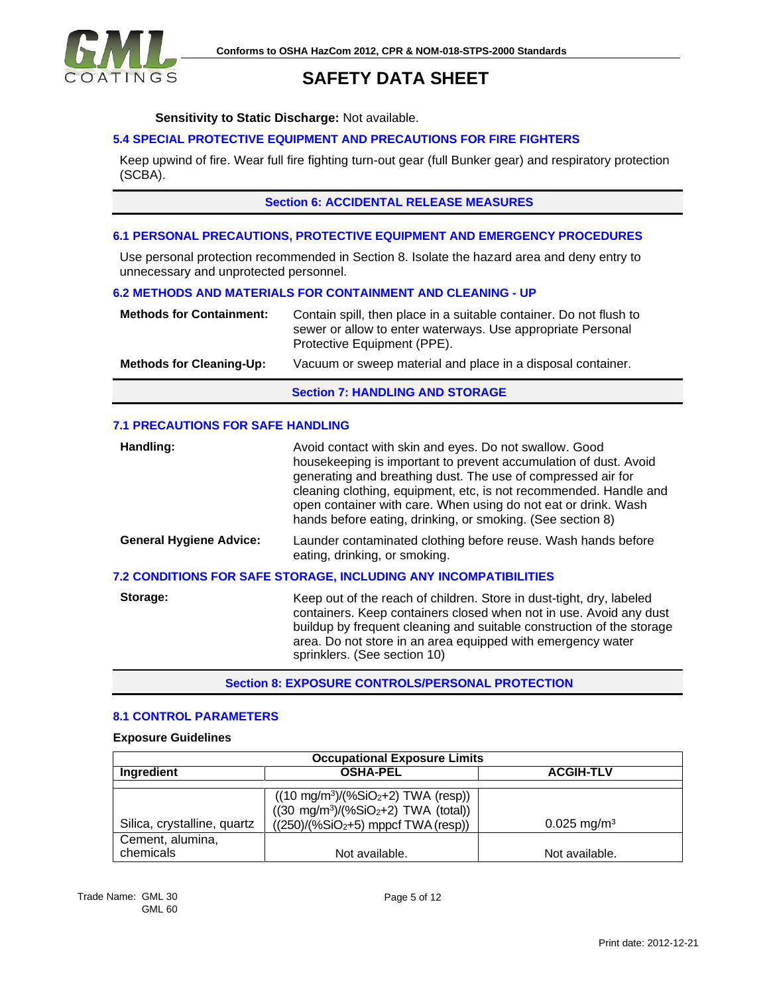

### **Sensitivity to Static Discharge:** Not available.

### **5.4 SPECIAL PROTECTIVE EQUIPMENT AND PRECAUTIONS FOR FIRE FIGHTERS**

Keep upwind of fire. Wear full fire fighting turn-out gear (full Bunker gear) and respiratory protection (SCBA).

### **Section 6: ACCIDENTAL RELEASE MEASURES**

#### **6.1 PERSONAL PRECAUTIONS, PROTECTIVE EQUIPMENT AND EMERGENCY PROCEDURES**

Use personal protection recommended in Section 8. Isolate the hazard area and deny entry to unnecessary and unprotected personnel.

### **6.2 METHODS AND MATERIALS FOR CONTAINMENT AND CLEANING - UP**

| <b>Methods for Containment:</b> | Contain spill, then place in a suitable container. Do not flush to<br>sewer or allow to enter waterways. Use appropriate Personal<br>Protective Equipment (PPE). |
|---------------------------------|------------------------------------------------------------------------------------------------------------------------------------------------------------------|
| <b>Methods for Cleaning-Up:</b> | Vacuum or sweep material and place in a disposal container.                                                                                                      |
|                                 | <b>Section 7: HANDLING AND STORAGE</b>                                                                                                                           |

### **7.1 PRECAUTIONS FOR SAFE HANDLING**

| Handling:                      | Avoid contact with skin and eyes. Do not swallow. Good<br>housekeeping is important to prevent accumulation of dust. Avoid<br>generating and breathing dust. The use of compressed air for<br>cleaning clothing, equipment, etc, is not recommended. Handle and<br>open container with care. When using do not eat or drink. Wash<br>hands before eating, drinking, or smoking. (See section 8) |
|--------------------------------|-------------------------------------------------------------------------------------------------------------------------------------------------------------------------------------------------------------------------------------------------------------------------------------------------------------------------------------------------------------------------------------------------|
| <b>General Hygiene Advice:</b> | Launder contaminated clothing before reuse. Wash hands before<br>eating, drinking, or smoking.                                                                                                                                                                                                                                                                                                  |
|                                | 7.2 CONDITIONS FOR SAFE STORAGE, INCLUDING ANY INCOMPATIBILITIES                                                                                                                                                                                                                                                                                                                                |
| Storage:                       | Keep out of the reach of children. Store in dust-tight, dry, labeled<br>containers. Keep containers closed when not in use. Avoid any dust<br>buildup by frequent cleaning and suitable construction of the storage<br>area. Do not store in an area equipped with emergency water                                                                                                              |

**Section 8: EXPOSURE CONTROLS/PERSONAL PROTECTION**

sprinklers. (See section 10)

### **8.1 CONTROL PARAMETERS**

### **Exposure Guidelines**

| <b>Occupational Exposure Limits</b> |                                                                                                                                       |                           |
|-------------------------------------|---------------------------------------------------------------------------------------------------------------------------------------|---------------------------|
| Ingredient                          | <b>OSHA-PEL</b>                                                                                                                       | <b>ACGIH-TLV</b>          |
| Silica, crystalline, quartz         | $((10 \text{ mg/m}^3)/(%SiO2+2)$ TWA (resp))<br>$((30 \text{ mg/m}^3)/(%SiO2+2)$ TWA (total))<br>$((250)/(%SiO2+5)$ mppcf TWA (resp)) | $0.025$ mg/m <sup>3</sup> |
| Cement, alumina,<br>chemicals       | Not available.                                                                                                                        | Not available.            |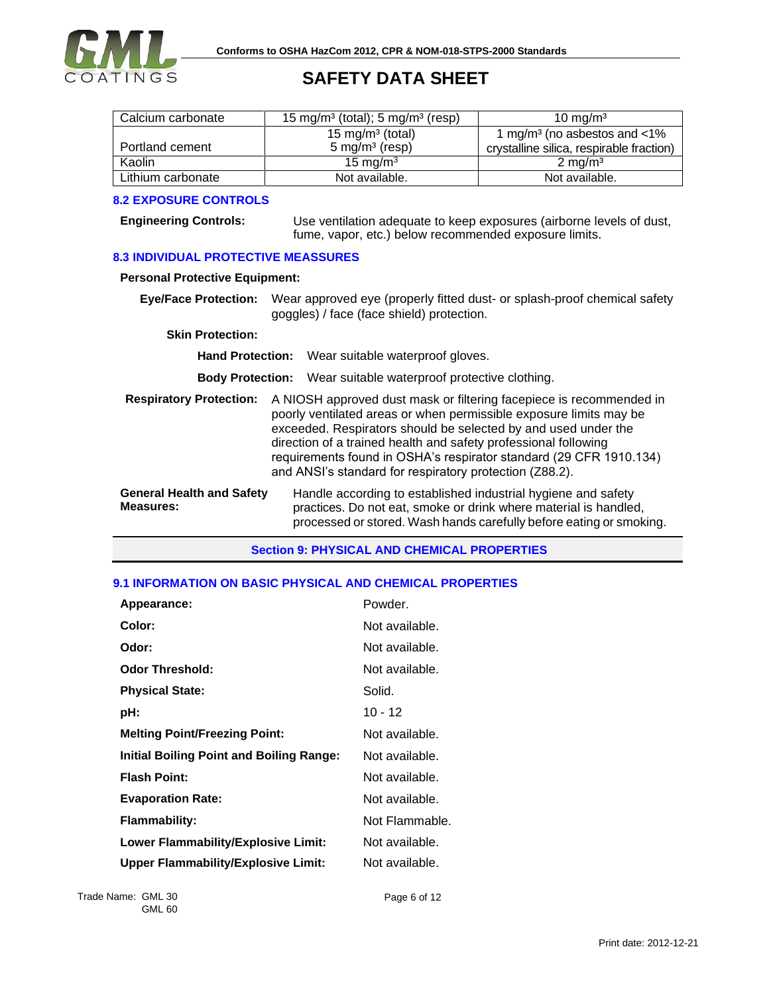

| Calcium carbonate | 15 mg/m <sup>3</sup> (total); 5 mg/m <sup>3</sup> (resp) | 10 mg/m <sup>3</sup>                        |
|-------------------|----------------------------------------------------------|---------------------------------------------|
|                   | 15 mg/m <sup>3</sup> (total)                             | 1 mg/m <sup>3</sup> (no asbestos and $<$ 1% |
| Portland cement   | $5 \text{ mg/m}^3$ (resp)                                | crystalline silica, respirable fraction)    |
| Kaolin            | 15 mg/m $3$                                              | $2 \text{ mg/m}^3$                          |
| Lithium carbonate | Not available.                                           | Not available.                              |

### **8.2 EXPOSURE CONTROLS**

**Engineering Controls:** Use ventilation adequate to keep exposures (airborne levels of dust, fume, vapor, etc.) below recommended exposure limits.

### **8.3 INDIVIDUAL PROTECTIVE MEASSURES**

### **Personal Protective Equipment:**

**Eye/Face Protection:** Wear approved eye (properly fitted dust- or splash-proof chemical safety goggles) / face (face shield) protection.

#### **Skin Protection:**

**Hand Protection:** Wear suitable waterproof gloves.

**Body Protection:** Wear suitable waterproof protective clothing.

| <b>Respiratory Protection:</b>   | A NIOSH approved dust mask or filtering facepiece is recommended in<br>poorly ventilated areas or when permissible exposure limits may be<br>exceeded. Respirators should be selected by and used under the<br>direction of a trained health and safety professional following<br>requirements found in OSHA's respirator standard (29 CFR 1910.134)<br>and ANSI's standard for respiratory protection (Z88.2). |
|----------------------------------|-----------------------------------------------------------------------------------------------------------------------------------------------------------------------------------------------------------------------------------------------------------------------------------------------------------------------------------------------------------------------------------------------------------------|
| <b>General Health and Safety</b> | Handle according to established industrial hygiene and safety                                                                                                                                                                                                                                                                                                                                                   |

**Measures:** practices. Do not eat, smoke or drink where material is handled, processed or stored. Wash hands carefully before eating or smoking.

### **Section 9: PHYSICAL AND CHEMICAL PROPERTIES**

### **9.1 INFORMATION ON BASIC PHYSICAL AND CHEMICAL PROPERTIES**

| Appearance:                                     | Powder.        |
|-------------------------------------------------|----------------|
| Color:                                          | Not available. |
| Odor:                                           | Not available. |
| <b>Odor Threshold:</b>                          | Not available. |
| <b>Physical State:</b>                          | Solid.         |
| pH:                                             | $10 - 12$      |
| <b>Melting Point/Freezing Point:</b>            | Not available. |
| <b>Initial Boiling Point and Boiling Range:</b> | Not available. |
| <b>Flash Point:</b>                             | Not available. |
| <b>Evaporation Rate:</b>                        | Not available. |
| <b>Flammability:</b>                            | Not Flammable. |
| <b>Lower Flammability/Explosive Limit:</b>      | Not available. |
| <b>Upper Flammability/Explosive Limit:</b>      | Not available. |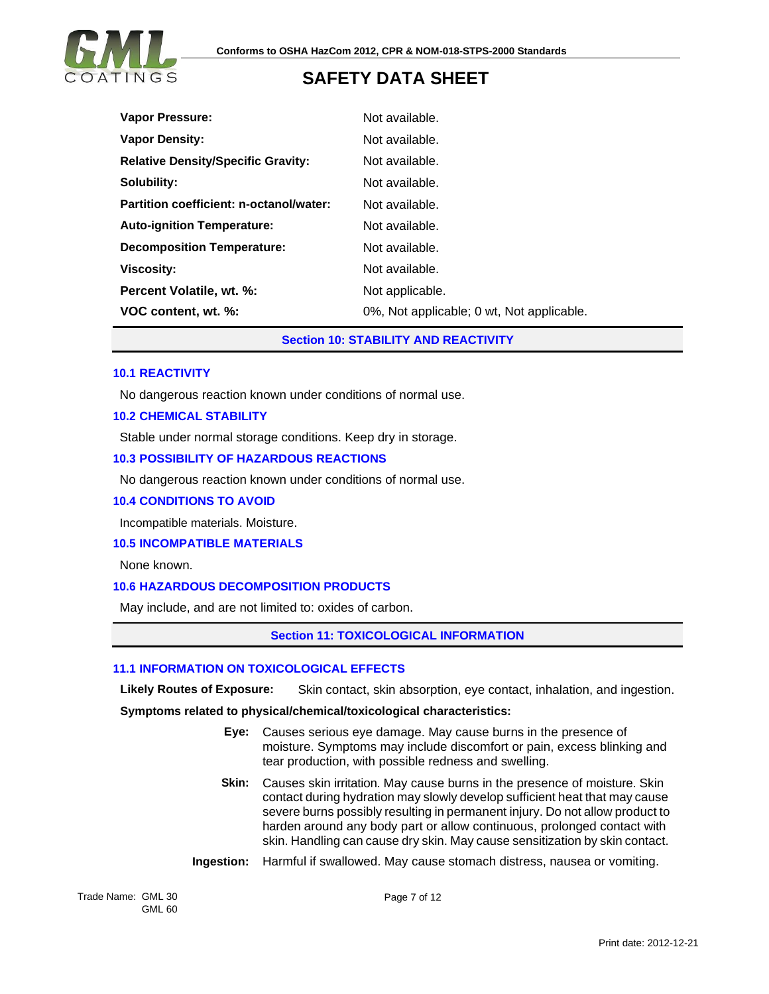

| <b>Vapor Pressure:</b>                    | Not available.                            |
|-------------------------------------------|-------------------------------------------|
| <b>Vapor Density:</b>                     | Not available.                            |
| <b>Relative Density/Specific Gravity:</b> | Not available.                            |
| Solubility:                               | Not available.                            |
| Partition coefficient: n-octanol/water:   | Not available.                            |
| <b>Auto-ignition Temperature:</b>         | Not available.                            |
| <b>Decomposition Temperature:</b>         | Not available.                            |
| <b>Viscosity:</b>                         | Not available.                            |
| Percent Volatile, wt. %:                  | Not applicable.                           |
| VOC content, wt. %:                       | 0%, Not applicable; 0 wt, Not applicable. |

**Section 10: STABILITY AND REACTIVITY**

### **10.1 REACTIVITY**

No dangerous reaction known under conditions of normal use.

### **10.2 CHEMICAL STABILITY**

Stable under normal storage conditions. Keep dry in storage.

### **10.3 POSSIBILITY OF HAZARDOUS REACTIONS**

No dangerous reaction known under conditions of normal use.

#### **10.4 CONDITIONS TO AVOID**

Incompatible materials. Moisture.

### **10.5 INCOMPATIBLE MATERIALS**

None known.

### **10.6 HAZARDOUS DECOMPOSITION PRODUCTS**

May include, and are not limited to: oxides of carbon.

### **Section 11: TOXICOLOGICAL INFORMATION**

### **11.1 INFORMATION ON TOXICOLOGICAL EFFECTS**

**Likely Routes of Exposure:** Skin contact, skin absorption, eye contact, inhalation, and ingestion.

**Symptoms related to physical/chemical/toxicological characteristics:**

- **Eye:** Causes serious eye damage. May cause burns in the presence of moisture. Symptoms may include discomfort or pain, excess blinking and tear production, with possible redness and swelling.
- **Skin:** Causes skin irritation. May cause burns in the presence of moisture. Skin contact during hydration may slowly develop sufficient heat that may cause severe burns possibly resulting in permanent injury. Do not allow product to harden around any body part or allow continuous, prolonged contact with skin. Handling can cause dry skin. May cause sensitization by skin contact.
- **Ingestion:** Harmful if swallowed. May cause stomach distress, nausea or vomiting.

Trade Name: GML 30 GML 60

Page 7 of 12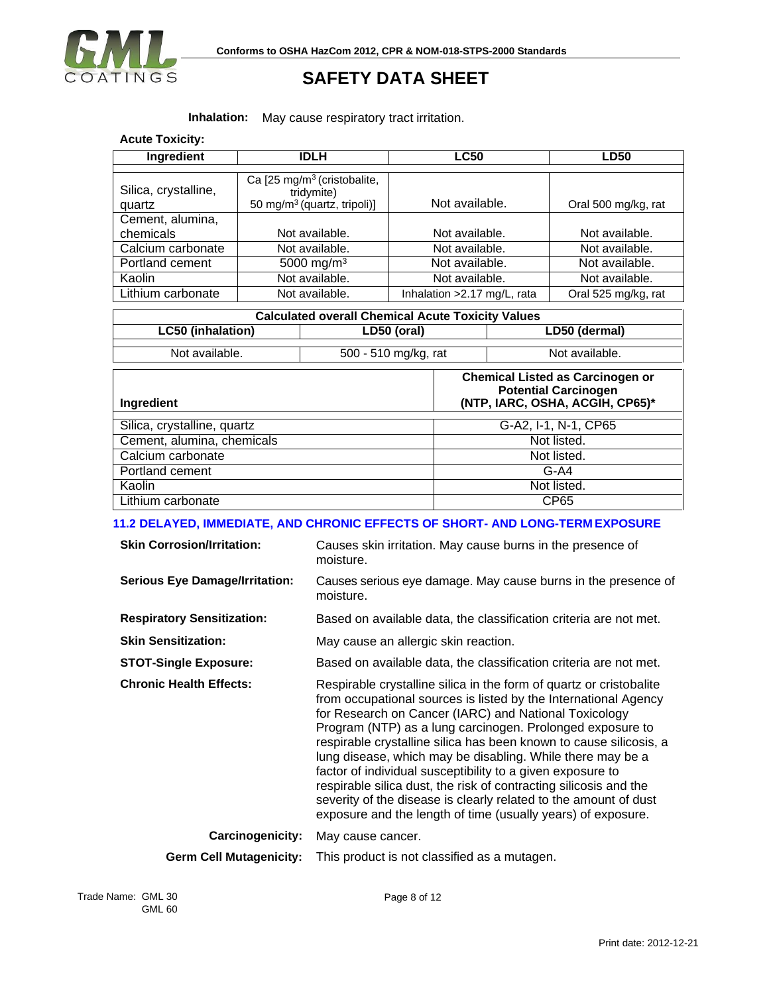

### **Inhalation:** May cause respiratory tract irritation.

| <b>Acute Toxicity:</b> |
|------------------------|

| Ingredient           | <b>IDLH</b>                                           | <b>LC50</b>                  | <b>LD50</b>         |
|----------------------|-------------------------------------------------------|------------------------------|---------------------|
|                      |                                                       |                              |                     |
| Silica, crystalline, | Ca [25 mg/m <sup>3</sup> (cristobalite,<br>tridymite) |                              |                     |
| quartz               | 50 mg/m <sup>3</sup> (quartz, tripoli)]               | Not available.               | Oral 500 mg/kg, rat |
| Cement, alumina,     |                                                       |                              |                     |
| chemicals            | Not available.                                        | Not available.               | Not available.      |
| Calcium carbonate    | Not available.                                        | Not available.               | Not available.      |
| Portland cement      | 5000 mg/m <sup>3</sup>                                | Not available.               | Not available.      |
| Kaolin               | Not available.                                        | Not available.               | Not available.      |
| Lithium carbonate    | Not available.                                        | Inhalation > 2.17 mg/L, rata | Oral 525 mg/kg, rat |

| <b>Calculated overall Chemical Acute Toxicity Values</b> |                      |                |
|----------------------------------------------------------|----------------------|----------------|
| LC50 (inhalation)                                        | LD50 (oral)          | LD50 (dermal)  |
| Not available.                                           | 500 - 510 mg/kg, rat | Not available. |

| Ingredient                  | <b>Chemical Listed as Carcinogen or</b><br><b>Potential Carcinogen</b><br>(NTP, IARC, OSHA, ACGIH, CP65)* |
|-----------------------------|-----------------------------------------------------------------------------------------------------------|
|                             |                                                                                                           |
| Silica, crystalline, quartz | G-A2, I-1, N-1, CP65                                                                                      |
| Cement, alumina, chemicals  | Not listed.                                                                                               |
| Calcium carbonate           | Not listed.                                                                                               |
| Portland cement             | $G-A4$                                                                                                    |
| Kaolin                      | Not listed.                                                                                               |
| Lithium carbonate           | CP65                                                                                                      |

### **11.2 DELAYED, IMMEDIATE, AND CHRONIC EFFECTS OF SHORT- AND LONG-TERM EXPOSURE**

| <b>Skin Corrosion/Irritation:</b>     | Causes skin irritation. May cause burns in the presence of<br>moisture.                                                                                                                                                                                                                                                                                                                                                                                                                                                                                                                                                                                                 |
|---------------------------------------|-------------------------------------------------------------------------------------------------------------------------------------------------------------------------------------------------------------------------------------------------------------------------------------------------------------------------------------------------------------------------------------------------------------------------------------------------------------------------------------------------------------------------------------------------------------------------------------------------------------------------------------------------------------------------|
| <b>Serious Eye Damage/Irritation:</b> | Causes serious eye damage. May cause burns in the presence of<br>moisture.                                                                                                                                                                                                                                                                                                                                                                                                                                                                                                                                                                                              |
| <b>Respiratory Sensitization:</b>     | Based on available data, the classification criteria are not met.                                                                                                                                                                                                                                                                                                                                                                                                                                                                                                                                                                                                       |
| <b>Skin Sensitization:</b>            | May cause an allergic skin reaction.                                                                                                                                                                                                                                                                                                                                                                                                                                                                                                                                                                                                                                    |
| <b>STOT-Single Exposure:</b>          | Based on available data, the classification criteria are not met.                                                                                                                                                                                                                                                                                                                                                                                                                                                                                                                                                                                                       |
| <b>Chronic Health Effects:</b>        | Respirable crystalline silica in the form of quartz or cristobalite<br>from occupational sources is listed by the International Agency<br>for Research on Cancer (IARC) and National Toxicology<br>Program (NTP) as a lung carcinogen. Prolonged exposure to<br>respirable crystalline silica has been known to cause silicosis, a<br>lung disease, which may be disabling. While there may be a<br>factor of individual susceptibility to a given exposure to<br>respirable silica dust, the risk of contracting silicosis and the<br>severity of the disease is clearly related to the amount of dust<br>exposure and the length of time (usually years) of exposure. |
| <b>Carcinogenicity:</b>               | May cause cancer.                                                                                                                                                                                                                                                                                                                                                                                                                                                                                                                                                                                                                                                       |
| <b>Germ Cell Mutagenicity:</b>        | This product is not classified as a mutagen.                                                                                                                                                                                                                                                                                                                                                                                                                                                                                                                                                                                                                            |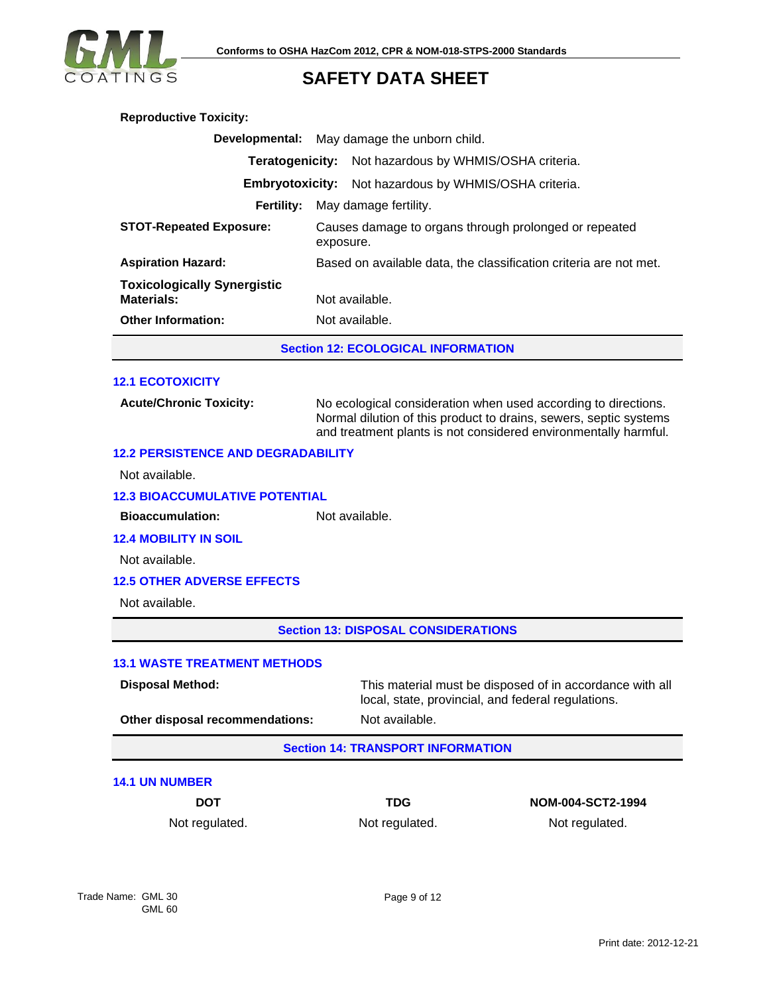

| <b>Reproductive Toxicity:</b>                            |                                                                                                                                                                                                        |  |  |
|----------------------------------------------------------|--------------------------------------------------------------------------------------------------------------------------------------------------------------------------------------------------------|--|--|
| Developmental:                                           | May damage the unborn child.                                                                                                                                                                           |  |  |
| Not hazardous by WHMIS/OSHA criteria.<br>Teratogenicity: |                                                                                                                                                                                                        |  |  |
| <b>Embryotoxicity:</b>                                   | Not hazardous by WHMIS/OSHA criteria.                                                                                                                                                                  |  |  |
| <b>Fertility:</b>                                        | May damage fertility.                                                                                                                                                                                  |  |  |
| <b>STOT-Repeated Exposure:</b>                           | Causes damage to organs through prolonged or repeated<br>exposure.                                                                                                                                     |  |  |
| <b>Aspiration Hazard:</b>                                | Based on available data, the classification criteria are not met.                                                                                                                                      |  |  |
| <b>Toxicologically Synergistic</b><br><b>Materials:</b>  | Not available.                                                                                                                                                                                         |  |  |
| <b>Other Information:</b>                                | Not available.                                                                                                                                                                                         |  |  |
| <b>Section 12: ECOLOGICAL INFORMATION</b>                |                                                                                                                                                                                                        |  |  |
| <b>12.1 ECOTOXICITY</b>                                  |                                                                                                                                                                                                        |  |  |
|                                                          |                                                                                                                                                                                                        |  |  |
| <b>Acute/Chronic Toxicity:</b>                           | No ecological consideration when used according to directions.<br>Normal dilution of this product to drains, sewers, septic systems<br>and treatment plants is not considered environmentally harmful. |  |  |
| <b>12.2 PERSISTENCE AND DEGRADABILITY</b>                |                                                                                                                                                                                                        |  |  |
| Not available.                                           |                                                                                                                                                                                                        |  |  |
| <b>12.3 BIOACCUMULATIVE POTENTIAL</b>                    |                                                                                                                                                                                                        |  |  |
| <b>Bioaccumulation:</b><br>Not available.                |                                                                                                                                                                                                        |  |  |
| <b>12.4 MOBILITY IN SOIL</b>                             |                                                                                                                                                                                                        |  |  |
| Not available.                                           |                                                                                                                                                                                                        |  |  |
| <b>12.5 OTHER ADVERSE EFFECTS</b>                        |                                                                                                                                                                                                        |  |  |
| Not available.                                           |                                                                                                                                                                                                        |  |  |
| <b>Section 13: DISPOSAL CONSIDERATIONS</b>               |                                                                                                                                                                                                        |  |  |
| <b>13.1 WASTE TREATMENT METHODS</b>                      |                                                                                                                                                                                                        |  |  |
| <b>Disposal Method:</b>                                  | This material must be disposed of in accordance with all<br>local, state, provincial, and federal regulations.                                                                                         |  |  |
| Other disposal recommendations:                          | Not available.                                                                                                                                                                                         |  |  |
| <b>Section 14: TRANSPORT INFORMATION</b>                 |                                                                                                                                                                                                        |  |  |

### **14.1 UN NUMBER**

**DOT TDG NOM-004-SCT2-1994** Not regulated. Not regulated. Not regulated. Not regulated.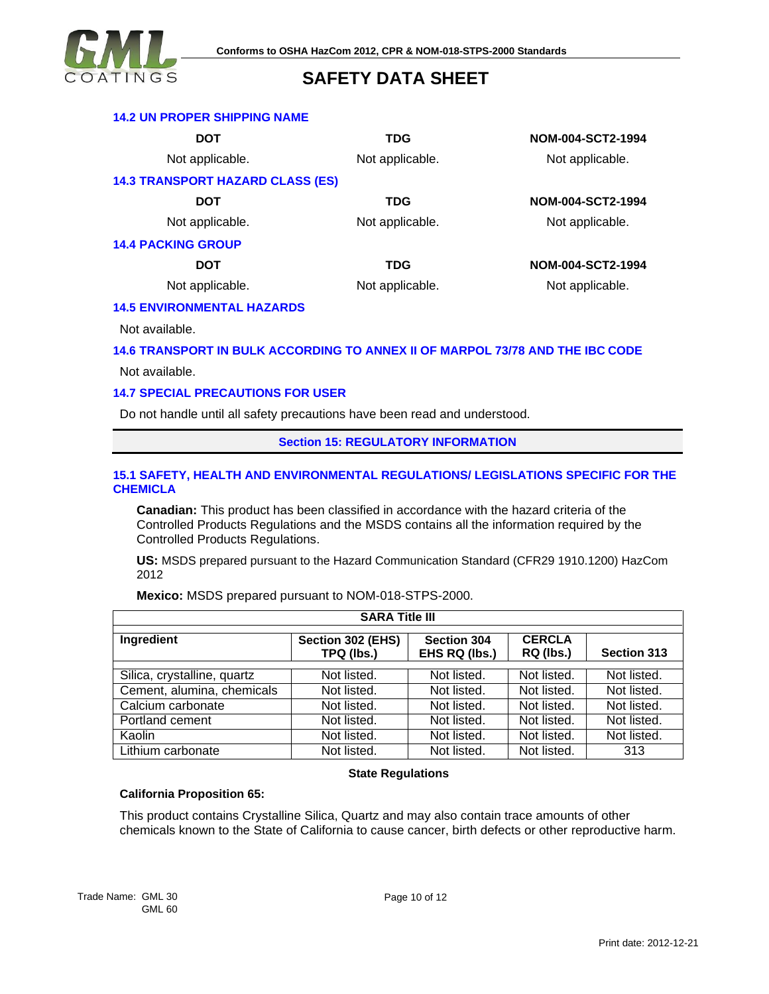

### **14.2 UN PROPER SHIPPING NAME**

**DOT TDG NOM-004-SCT2-1994** Not applicable. Not applicable. Not applicable. **14.3 TRANSPORT HAZARD CLASS (ES) DOT TDG NOM-004-SCT2-1994** Not applicable. Not applicable. Not applicable. **14.4 PACKING GROUP DOT TDG NOM-004-SCT2-1994** Not applicable. Not applicable. Not applicable.

### **14.5 ENVIRONMENTAL HAZARDS**

Not available.

### **14.6 TRANSPORT IN BULK ACCORDING TO ANNEX II OF MARPOL 73/78 AND THE IBC CODE**

Not available.

### **14.7 SPECIAL PRECAUTIONS FOR USER**

Do not handle until all safety precautions have been read and understood.

#### **Section 15: REGULATORY INFORMATION**

### **15.1 SAFETY, HEALTH AND ENVIRONMENTAL REGULATIONS/ LEGISLATIONS SPECIFIC FOR THE CHEMICLA**

**Canadian:** This product has been classified in accordance with the hazard criteria of the Controlled Products Regulations and the MSDS contains all the information required by the Controlled Products Regulations.

**US:** MSDS prepared pursuant to the Hazard Communication Standard (CFR29 1910.1200) HazCom 2012

| <b>SARA Title III</b>       |                                 |                              |                            |                    |
|-----------------------------|---------------------------------|------------------------------|----------------------------|--------------------|
| Ingredient                  | Section 302 (EHS)<br>TPQ (lbs.) | Section 304<br>EHS RQ (lbs.) | <b>CERCLA</b><br>RQ (lbs.) | <b>Section 313</b> |
| Silica, crystalline, quartz | Not listed.                     | Not listed.                  | Not listed.                | Not listed.        |
| Cement, alumina, chemicals  | Not listed.                     | Not listed.                  | Not listed.                | Not listed.        |
| Calcium carbonate           | Not listed.                     | Not listed.                  | Not listed.                | Not listed.        |
| Portland cement             | Not listed.                     | Not listed.                  | Not listed.                | Not listed.        |
| Kaolin                      | Not listed.                     | Not listed.                  | Not listed.                | Not listed.        |
| Lithium carbonate           | Not listed.                     | Not listed.                  | Not listed.                | 313                |

**Mexico:** MSDS prepared pursuant to NOM-018-STPS-2000.

### **State Regulations**

### **California Proposition 65:**

This product contains Crystalline Silica, Quartz and may also contain trace amounts of other chemicals known to the State of California to cause cancer, birth defects or other reproductive harm.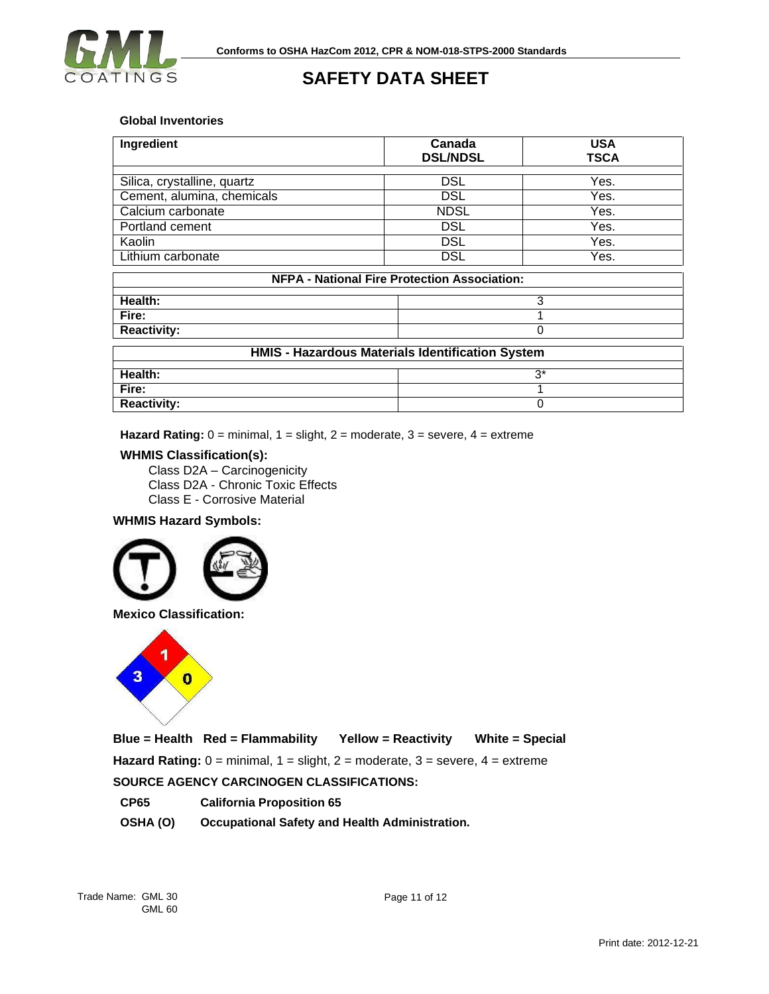

### **Global Inventories**

| Ingredient                                          | Canada<br><b>DSL/NDSL</b> | <b>USA</b><br><b>TSCA</b> |  |
|-----------------------------------------------------|---------------------------|---------------------------|--|
|                                                     |                           |                           |  |
| Silica, crystalline, quartz                         | <b>DSL</b>                | Yes.                      |  |
| Cement, alumina, chemicals                          | <b>DSL</b>                | Yes.                      |  |
| Calcium carbonate                                   | <b>NDSL</b>               | Yes.                      |  |
| Portland cement                                     | <b>DSL</b>                | Yes.                      |  |
| Kaolin                                              | <b>DSL</b>                | Yes.                      |  |
| Lithium carbonate                                   | <b>DSL</b>                | Yes.                      |  |
| <b>NFPA - National Fire Protection Association:</b> |                           |                           |  |
| Health:                                             | 3                         |                           |  |
| Fire:                                               |                           |                           |  |

| <b>Reactivity:</b>                               |     |  |
|--------------------------------------------------|-----|--|
| HMIS - Hazardous Materials Identification System |     |  |
|                                                  |     |  |
| Health:                                          | ∙ว∗ |  |
| Fire:                                            |     |  |
| <b>Reactivity:</b>                               |     |  |

**Hazard Rating:** 0 = minimal, 1 = slight, 2 = moderate, 3 = severe, 4 = extreme

### **WHMIS Classification(s):**

Class D2A – Carcinogenicity Class D2A - Chronic Toxic Effects Class E - Corrosive Material

### **WHMIS Hazard Symbols:**





**Blue = Health Red = Flammability Yellow = Reactivity White = Special Hazard Rating:** 0 = minimal, 1 = slight, 2 = moderate, 3 = severe, 4 = extreme **SOURCE AGENCY CARCINOGEN CLASSIFICATIONS:**

**CP65 California Proposition 65**

**OSHA (O) Occupational Safety and Health Administration.**

Page 11 of 12